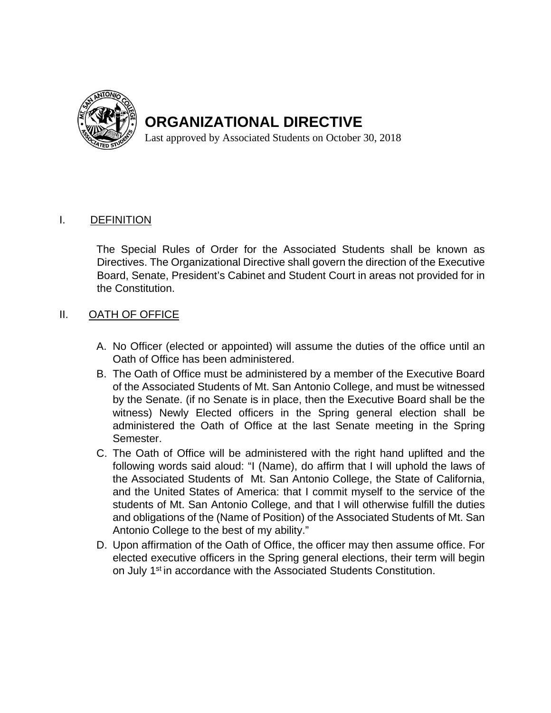

**ORGANIZATIONAL DIRECTIVE** 

Last approved by Associated Students on October 30, 2018

### **DEFINITION**

I. DEFINITION<br>The Special Rules of Order for the Associated Students shall be known as Directives. The Organizational Directive shall govern the direction of the Executive Board, Senate, President's Cabinet and Student Court in areas not provided for in the Constitution.

#### $\Pi$ . OATH OF OFFICE

- A. No Officer (elected or appointed) will assume the duties of the office until an Oath of Office has been administered.
- B. The Oath of Office must be administered by a member of the Executive Board of the Associated Students of Mt. San Antonio College, and must be witnessed by the Senate. (if no Senate is in place, then the Executive Board shall be the witness) Newly Elected officers in the Spring general election shall be administered the Oath of Office at the last Senate meeting in the Spring Semester.
- the Associated Students of Mt. San Antonio College, the State of California, C. The Oath of Office will be administered with the right hand uplifted and the following words said aloud: "I (Name), do affirm that I will uphold the laws of and the United States of America: that I commit myself to the service of the students of Mt. San Antonio College, and that I will otherwise fulfill the duties and obligations of the (Name of Position) of the Associated Students of Mt. San Antonio College to the best of my ability."
- D. Upon affirmation of the Oath of Office, the officer may then assume office. For elected executive officers in the Spring general elections, their term will begin on July 1<sup>st</sup> in accordance with the Associated Students Constitution.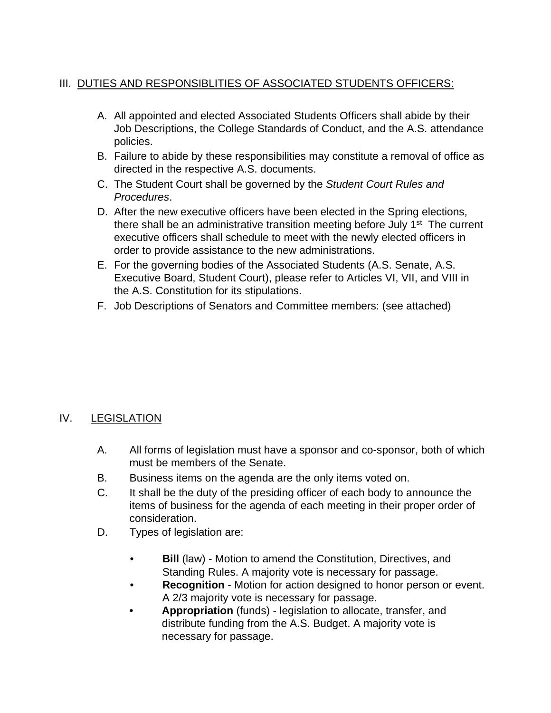## III. DUTIES AND RESPONSIBLITIES OF ASSOCIATED STUDENTS OFFICERS:

- A. All appointed and elected Associated Students Officers shall abide by their Job Descriptions, the College Standards of Conduct, and the A.S. attendance policies.
- B. Failure to abide by these responsibilities may constitute a removal of office as directed in the respective A.S. documents.
- C. The Student Court shall be governed by the *Student Court Rules and Procedures*.
- there shall be an administrative transition meeting before July 1<sup>st</sup> The current D. After the new executive officers have been elected in the Spring elections, executive officers shall schedule to meet with the newly elected officers in order to provide assistance to the new administrations.
- E. For the governing bodies of the Associated Students (A.S. Senate, A.S. Executive Board, Student Court), please refer to Articles VI, VII, and VIII in the A.S. Constitution for its stipulations.
- F. Job Descriptions of Senators and Committee members: (see attached)

## **LEGISLATION**

- IV. LEGISLATION<br>A. All forms of legislation must have a sponsor and co-sponsor, both of which must be members of the Senate.
	- B. Business items on the agenda are the only items voted on.
	- C. It shall be the duty of the presiding officer of each body to announce the items of business for the agenda of each meeting in their proper order of consideration.
	- D. Types of legislation are:
		- **Bill** (law) Motion to amend the Constitution, Directives, and Standing Rules. A majority vote is necessary for passage.
		- **Recognition**  Motion for action designed to honor person or event. A 2/3 majority vote is necessary for passage.
		- **Appropriation** (funds) legislation to allocate, transfer, and distribute funding from the A.S. Budget. A majority vote is necessary for passage.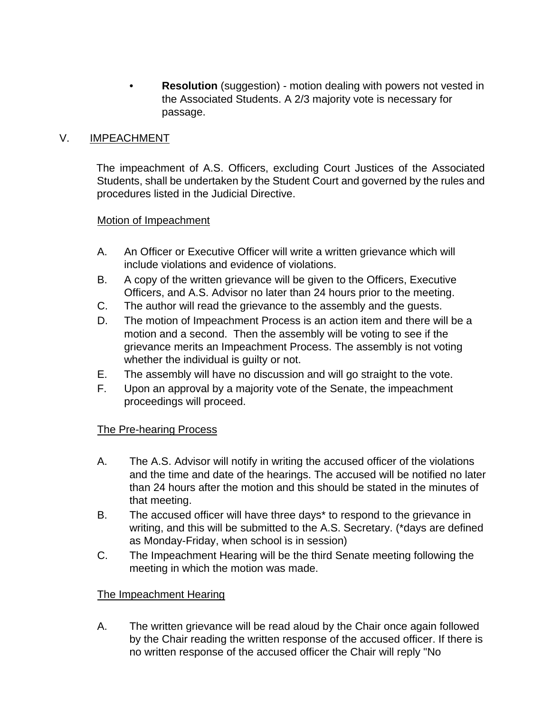• **Resolution** (suggestion) - motion dealing with powers not vested in the Associated Students. A 2/3 majority vote is necessary for passage.

#### $V_{\perp}$ IMPEACHMENT

procedures listed in the Judicial Directive. The impeachment of A.S. Officers, excluding Court Justices of the Associated Students, shall be undertaken by the Student Court and governed by the rules and

### Motion of Impeachment

- A. An Officer or Executive Officer will write a written grievance which will include violations and evidence of violations.
- B. A copy of the written grievance will be given to the Officers, Executive Officers, and A.S. Advisor no later than 24 hours prior to the meeting.
- C. The author will read the grievance to the assembly and the guests.
- whether the individual is guilty or not. D. The motion of Impeachment Process is an action item and there will be a motion and a second. Then the assembly will be voting to see if the grievance merits an Impeachment Process. The assembly is not voting
- E. The assembly will have no discussion and will go straight to the vote.
- F. Upon an approval by a majority vote of the Senate, the impeachment proceedings will proceed.

## **The Pre-hearing Process**

- A. The A.S. Advisor will notify in writing the accused officer of the violations and the time and date of the hearings. The accused will be notified no later than 24 hours after the motion and this should be stated in the minutes of that meeting.
- writing, and this will be submitted to the A.S. Secretary. (\*days are defined B. The accused officer will have three days\* to respond to the grievance in as Monday-Friday, when school is in session)
- C. The Impeachment Hearing will be the third Senate meeting following the meeting in which the motion was made.

## The Impeachment Hearing

A. The written grievance will be read aloud by the Chair once again followed by the Chair reading the written response of the accused officer. If there is no written response of the accused officer the Chair will reply "No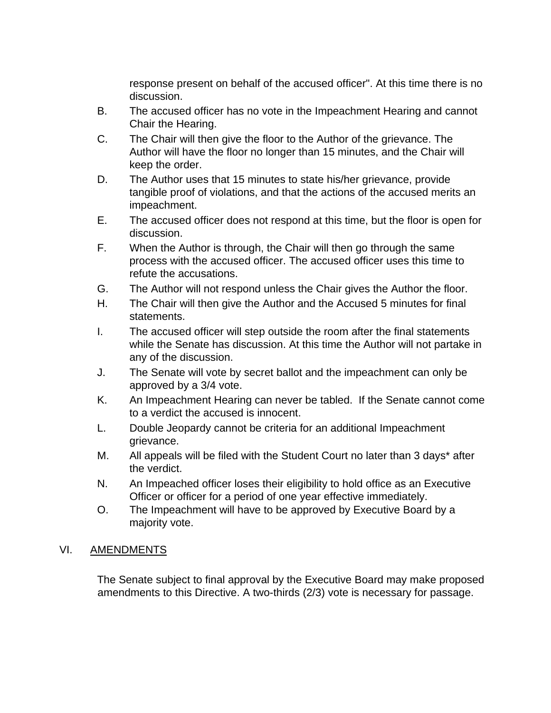response present on behalf of the accused officer". At this time there is no discussion.

- B. The accused officer has no vote in the Impeachment Hearing and cannot Chair the Hearing.
- C. The Chair will then give the floor to the Author of the grievance. The Author will have the floor no longer than 15 minutes, and the Chair will keep the order.
- D. The Author uses that 15 minutes to state his/her grievance, provide tangible proof of violations, and that the actions of the accused merits an impeachment.
- E. The accused officer does not respond at this time, but the floor is open for discussion.
- F. When the Author is through, the Chair will then go through the same process with the accused officer. The accused officer uses this time to refute the accusations.
- G. The Author will not respond unless the Chair gives the Author the floor.
- H. The Chair will then give the Author and the Accused 5 minutes for final statements.
- I. The accused officer will step outside the room after the final statements while the Senate has discussion. At this time the Author will not partake in any of the discussion.
- J. The Senate will vote by secret ballot and the impeachment can only be approved by a 3/4 vote.
- K. An Impeachment Hearing can never be tabled. If the Senate cannot come to a verdict the accused is innocent.
- L. Double Jeopardy cannot be criteria for an additional Impeachment grievance.
- M. All appeals will be filed with the Student Court no later than 3 days\* after the verdict.
- N. An Impeached officer loses their eligibility to hold office as an Executive Officer or officer for a period of one year effective immediately.
- O. The Impeachment will have to be approved by Executive Board by a majority vote.

## **AMENDMENTS**

VI. AMENDMENTS<br>The Senate subject to final approval by the Executive Board may make proposed amendments to this Directive. A two-thirds (2/3) vote is necessary for passage.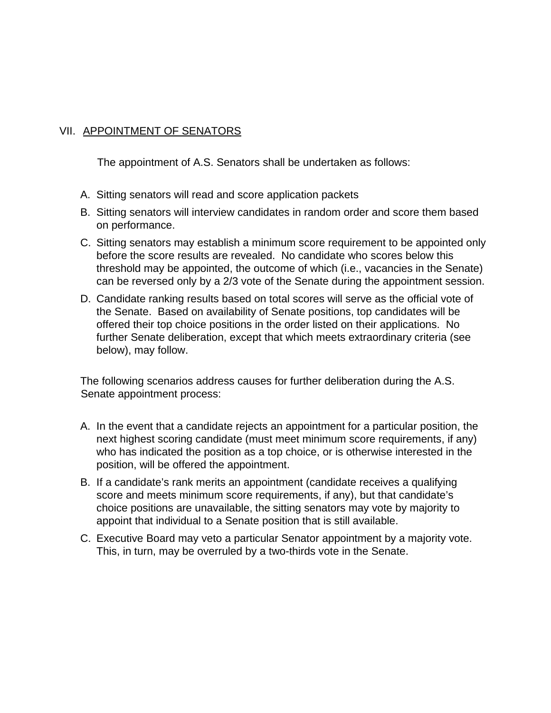## VII. APPOINTMENT OF SENATORS

The appointment of A.S. Senators shall be undertaken as follows:

- A. Sitting senators will read and score application packets
- B. Sitting senators will interview candidates in random order and score them based on performance.
- C. Sitting senators may establish a minimum score requirement to be appointed only before the score results are revealed. No candidate who scores below this threshold may be appointed, the outcome of which (i.e., vacancies in the Senate) can be reversed only by a 2/3 vote of the Senate during the appointment session.
- below), may follow. D. Candidate ranking results based on total scores will serve as the official vote of the Senate. Based on availability of Senate positions, top candidates will be offered their top choice positions in the order listed on their applications. No further Senate deliberation, except that which meets extraordinary criteria (see

The following scenarios address causes for further deliberation during the A.S. Senate appointment process:

- A. In the event that a candidate rejects an appointment for a particular position, the next highest scoring candidate (must meet minimum score requirements, if any) who has indicated the position as a top choice, or is otherwise interested in the position, will be offered the appointment.
- choice positions are unavailable, the sitting senators may vote by majority to B. If a candidate's rank merits an appointment (candidate receives a qualifying score and meets minimum score requirements, if any), but that candidate's appoint that individual to a Senate position that is still available.
- C. Executive Board may veto a particular Senator appointment by a majority vote. This, in turn, may be overruled by a two-thirds vote in the Senate.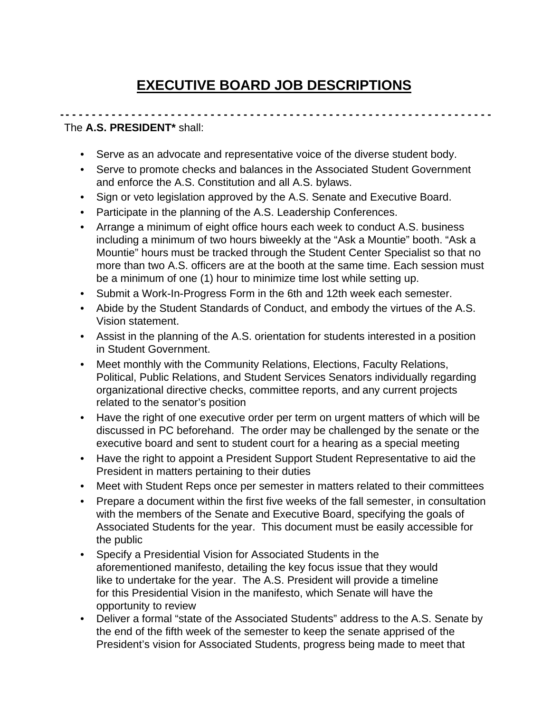# **EXECUTIVE BOARD JOB DESCRIPTIONS**

#### **- - - - - - - - - - - - - - - - - - - - - - - - - - - - - - - - - - - - - - - - - - - - - - - - - - - - - - - - - - - - - - - - - -** The **A.S. PRESIDENT\*** shall:

- Serve as an advocate and representative voice of the diverse student body.
- Serve to promote checks and balances in the Associated Student Government and enforce the A.S. Constitution and all A.S. bylaws.
- Sign or veto legislation approved by the A.S. Senate and Executive Board.
- Participate in the planning of the A.S. Leadership Conferences.
- Arrange a minimum of eight office hours each week to conduct A.S. business including a minimum of two hours biweekly at the "Ask a Mountie" booth. "Ask a Mountie" hours must be tracked through the Student Center Specialist so that no more than two A.S. officers are at the booth at the same time. Each session must be a minimum of one (1) hour to minimize time lost while setting up.
- Submit a Work-In-Progress Form in the 6th and 12th week each semester.
- Abide by the Student Standards of Conduct, and embody the virtues of the A.S. Vision statement.
- Assist in the planning of the A.S. orientation for students interested in a position in Student Government.
- Meet monthly with the Community Relations, Elections, Faculty Relations, Political, Public Relations, and Student Services Senators individually regarding organizational directive checks, committee reports, and any current projects related to the senator's position
- Have the right of one executive order per term on urgent matters of which will be discussed in PC beforehand. The order may be challenged by the senate or the executive board and sent to student court for a hearing as a special meeting
- Have the right to appoint a President Support Student Representative to aid the President in matters pertaining to their duties
- Meet with Student Reps once per semester in matters related to their committees
- Prepare a document within the first five weeks of the fall semester, in consultation with the members of the Senate and Executive Board, specifying the goals of Associated Students for the year. This document must be easily accessible for the public
- Specify a Presidential Vision for Associated Students in the aforementioned manifesto, detailing the key focus issue that they would like to undertake for the year. The A.S. President will provide a timeline for this Presidential Vision in the manifesto, which Senate will have the opportunity to review
- President's vision for Associated Students, progress being made to meet that • Deliver a formal "state of the Associated Students" address to the A.S. Senate by the end of the fifth week of the semester to keep the senate apprised of the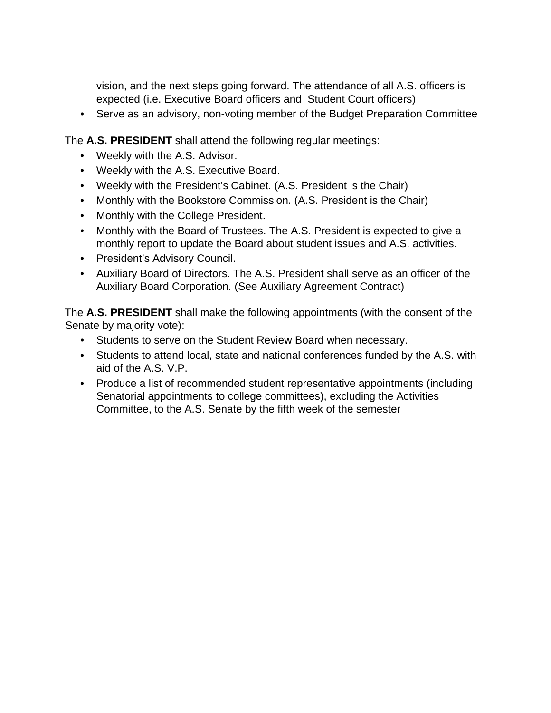vision, and the next steps going forward. The attendance of all A.S. officers is expected (i.e. Executive Board officers and Student Court officers)

• Serve as an advisory, non-voting member of the Budget Preparation Committee

The **A.S. PRESIDENT** shall attend the following regular meetings:

- Weekly with the A.S. Advisor.
- Weekly with the A.S. Executive Board.
- Weekly with the President's Cabinet. (A.S. President is the Chair)
- Monthly with the Bookstore Commission. (A.S. President is the Chair)
- Monthly with the College President.
- monthly report to update the Board about student issues and A.S. activities. • Monthly with the Board of Trustees. The A.S. President is expected to give a
- President's Advisory Council.
- Auxiliary Board of Directors. The A.S. President shall serve as an officer of the Auxiliary Board Corporation. (See Auxiliary Agreement Contract)

The **A.S. PRESIDENT** shall make the following appointments (with the consent of the Senate by majority vote):

- Students to serve on the Student Review Board when necessary.
- Students to attend local, state and national conferences funded by the A.S. with aid of the A.S. V.P.
- Produce a list of recommended student representative appointments (including Senatorial appointments to college committees), excluding the Activities Committee, to the A.S. Senate by the fifth week of the semester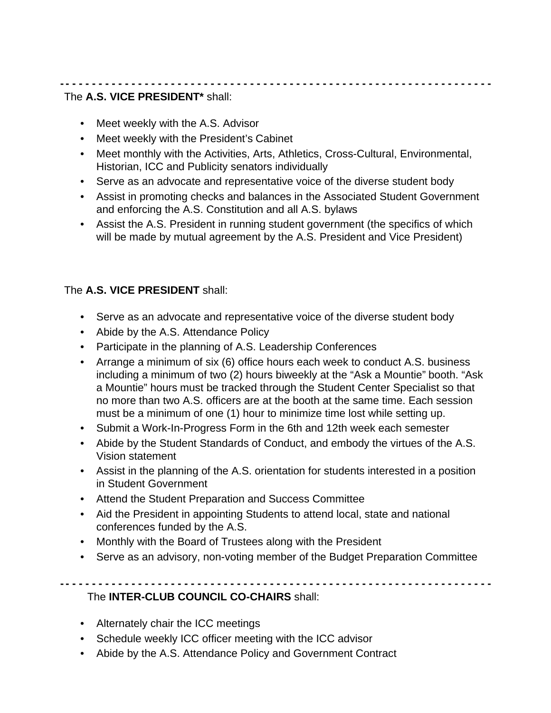#### **- - - - - - - - - - - - - - - - - - - - - - - - - - - - - - - - - - - - - - - - - - - - - - - - - - - - - - - - - - - - - - - - - -** The **A.S. VICE PRESIDENT\*** shall:

- Meet weekly with the A.S. Advisor
- Meet weekly with the President's Cabinet
- Meet monthly with the Activities, Arts, Athletics, Cross-Cultural, Environmental, Historian, ICC and Publicity senators individually
- Serve as an advocate and representative voice of the diverse student body
- Assist in promoting checks and balances in the Associated Student Government and enforcing the A.S. Constitution and all A.S. bylaws
- Assist the A.S. President in running student government (the specifics of which will be made by mutual agreement by the A.S. President and Vice President)

## The **A.S. VICE PRESIDENT** shall:

- Serve as an advocate and representative voice of the diverse student body
- Abide by the A.S. Attendance Policy
- Participate in the planning of A.S. Leadership Conferences
- • Arrange a minimum of six (6) office hours each week to conduct A.S. business including a minimum of two (2) hours biweekly at the "Ask a Mountie" booth. "Ask a Mountie" hours must be tracked through the Student Center Specialist so that no more than two A.S. officers are at the booth at the same time. Each session must be a minimum of one (1) hour to minimize time lost while setting up.
- Submit a Work-In-Progress Form in the 6th and 12th week each semester
- Abide by the Student Standards of Conduct, and embody the virtues of the A.S. Vision statement
- Assist in the planning of the A.S. orientation for students interested in a position in Student Government
- Attend the Student Preparation and Success Committee
- Aid the President in appointing Students to attend local, state and national conferences funded by the A.S.
- Monthly with the Board of Trustees along with the President
- Serve as an advisory, non-voting member of the Budget Preparation Committee

**- - - - - - - - - - - - - - - - - - - - - - - - - - - - - - - - - - - - - - - - - - - - - - - - - - - - - - - - - - - - - - - - - -** The **INTER-CLUB COUNCIL CO-CHAIRS** shall:

• Alternately chair the ICC meetings

- Schedule weekly ICC officer meeting with the ICC advisor
- Abide by the A.S. Attendance Policy and Government Contract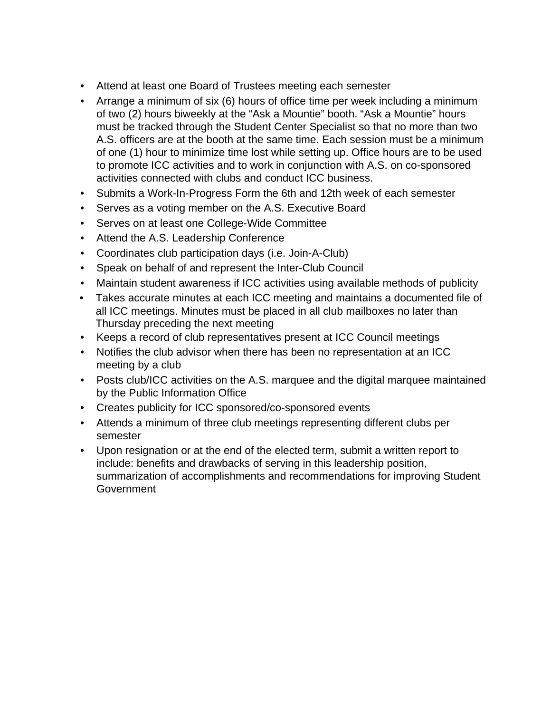- Attend at least one Board of Trustees meeting each semester
- of two (2) hours biweekly at the "Ask a Mountie" booth. "Ask a Mountie" hours • Arrange a minimum of six (6) hours of office time per week including a minimum must be tracked through the Student Center Specialist so that no more than two A.S. officers are at the booth at the same time. Each session must be a minimum of one (1) hour to minimize time lost while setting up. Office hours are to be used to promote ICC activities and to work in conjunction with A.S. on co-sponsored activities connected with clubs and conduct ICC business.
- Submits a Work-In-Progress Form the 6th and 12th week of each semester
- Serves as a voting member on the A.S. Executive Board
- Serves on at least one College-Wide Committee
- Attend the A.S. Leadership Conference
- Coordinates club participation days (i.e. Join-A-Club)
- Speak on behalf of and represent the Inter-Club Council
- Maintain student awareness if ICC activities using available methods of publicity
- Takes accurate minutes at each ICC meeting and maintains a documented file of all ICC meetings. Minutes must be placed in all club mailboxes no later than Thursday preceding the next meeting
- Keeps a record of club representatives present at ICC Council meetings
- Notifies the club advisor when there has been no representation at an ICC meeting by a club
- Posts club/ICC activities on the A.S. marquee and the digital marquee maintained by the Public Information Office
- Creates publicity for ICC sponsored/co-sponsored events
- Attends a minimum of three club meetings representing different clubs per semester
- Upon resignation or at the end of the elected term, submit a written report to include: benefits and drawbacks of serving in this leadership position, summarization of accomplishments and recommendations for improving Student **Government**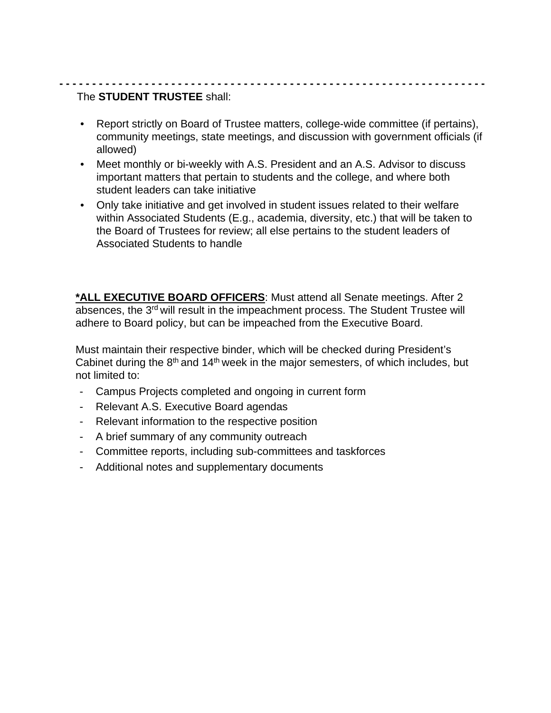### **- - - - - - - - - - - - - - - - - - - - - - - - - - - - - - - - - - - - - - - - - - - - - - - - - - - - - - - - - - - - - - - - -** The **STUDENT TRUSTEE** shall:

- Report strictly on Board of Trustee matters, college-wide committee (if pertains), community meetings, state meetings, and discussion with government officials (if allowed)
- Meet monthly or bi-weekly with A.S. President and an A.S. Advisor to discuss important matters that pertain to students and the college, and where both student leaders can take initiative
- Only take initiative and get involved in student issues related to their welfare within Associated Students (E.g., academia, diversity, etc.) that will be taken to the Board of Trustees for review; all else pertains to the student leaders of Associated Students to handle

**\*ALL EXECUTIVE BOARD OFFICERS**: Must attend all Senate meetings. After 2 absences, the 3<sup>rd</sup> will result in the impeachment process. The Student Trustee will adhere to Board policy, but can be impeached from the Executive Board.

Must maintain their respective binder, which will be checked during President's Cabinet during the  $8<sup>th</sup>$  and 14<sup>th</sup> week in the major semesters, of which includes, but not limited to:

- Campus Projects completed and ongoing in current form
- Relevant A.S. Executive Board agendas
- Relevant information to the respective position
- A brief summary of any community outreach
- Committee reports, including sub-committees and taskforces
- Additional notes and supplementary documents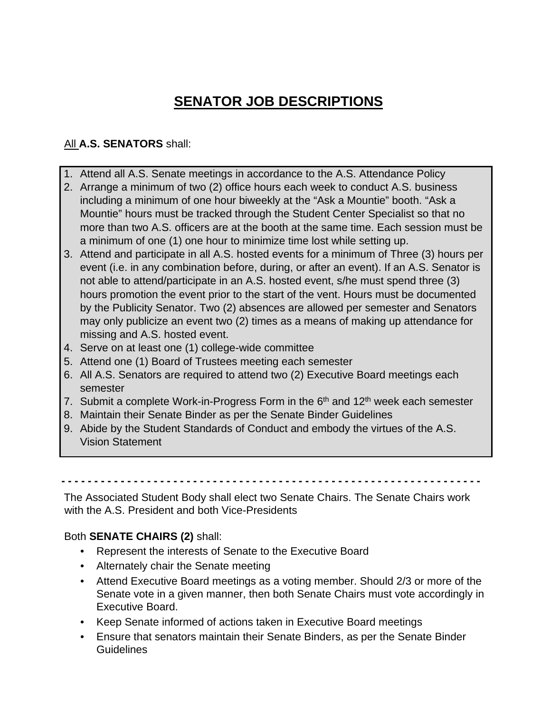# **SENATOR JOB DESCRIPTIONS**

## All **A.S. SENATORS** shall:

- 1. Attend all A.S. Senate meetings in accordance to the A.S. Attendance Policy
- 2. Arrange a minimum of two (2) office hours each week to conduct A.S. business including a minimum of one hour biweekly at the "Ask a Mountie" booth. "Ask a Mountie" hours must be tracked through the Student Center Specialist so that no more than two A.S. officers are at the booth at the same time. Each session must be a minimum of one (1) one hour to minimize time lost while setting up.
- may only publicize an event two (2) times as a means of making up attendance for 3. Attend and participate in all A.S. hosted events for a minimum of Three (3) hours per event (i.e. in any combination before, during, or after an event). If an A.S. Senator is not able to attend/participate in an A.S. hosted event, s/he must spend three (3) hours promotion the event prior to the start of the vent. Hours must be documented by the Publicity Senator. Two (2) absences are allowed per semester and Senators missing and A.S. hosted event.
- 4. Serve on at least one (1) college-wide committee
- 5. Attend one (1) Board of Trustees meeting each semester
- 6. All A.S. Senators are required to attend two (2) Executive Board meetings each semester
- 7. Submit a complete Work-in-Progress Form in the  $6<sup>th</sup>$  and 12<sup>th</sup> week each semester
- 8. Maintain their Senate Binder as per the Senate Binder Guidelines
- 9. Abide by the Student Standards of Conduct and embody the virtues of the A.S. Vision Statement

**- - - - - - - - - - - - - - - - - - - - - - - - - - - - - - - - - - - - - - - - - - - - - - - - - - - - - - - - - - - - - - - -** 

The Associated Student Body shall elect two Senate Chairs. The Senate Chairs work with the A.S. President and both Vice-Presidents

## Both **SENATE CHAIRS (2)** shall:

- Represent the interests of Senate to the Executive Board
- Alternately chair the Senate meeting
- Attend Executive Board meetings as a voting member. Should 2/3 or more of the Senate vote in a given manner, then both Senate Chairs must vote accordingly in Executive Board.
- Keep Senate informed of actions taken in Executive Board meetings
- Ensure that senators maintain their Senate Binders, as per the Senate Binder Guidelines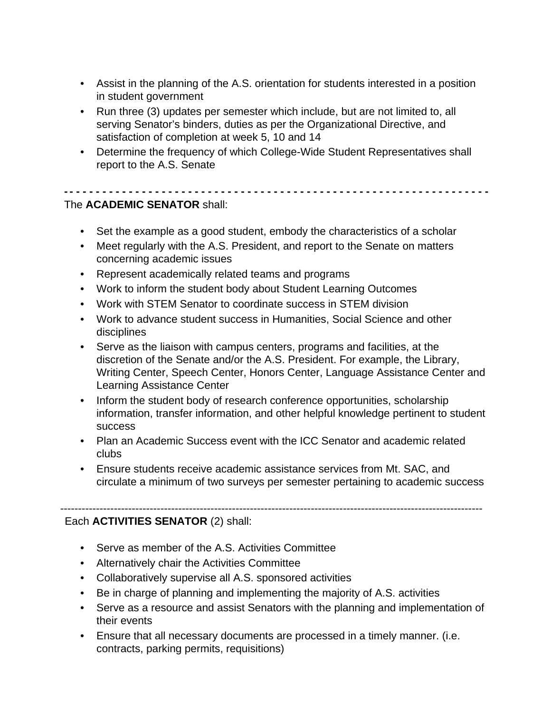- Assist in the planning of the A.S. orientation for students interested in a position in student government
- Run three (3) updates per semester which include, but are not limited to, all serving Senator's binders, duties as per the Organizational Directive, and satisfaction of completion at week 5, 10 and 14
- Determine the frequency of which College-Wide Student Representatives shall report to the A.S. Senate

**- - - - - - - - - - - - - - - - - - - - - - - - - - - - - - - - - - - - - - - - - - - - - - - - - - - - - - - - - - - - - - - - -**

### The **ACADEMIC SENATOR** shall:

- Set the example as a good student, embody the characteristics of a scholar
- Meet regularly with the A.S. President, and report to the Senate on matters concerning academic issues
- Represent academically related teams and programs
- Work to inform the student body about Student Learning Outcomes
- Work with STEM Senator to coordinate success in STEM division
- Work to advance student success in Humanities, Social Science and other disciplines
- Serve as the liaison with campus centers, programs and facilities, at the discretion of the Senate and/or the A.S. President. For example, the Library, Writing Center, Speech Center, Honors Center, Language Assistance Center and Learning Assistance Center
- Inform the student body of research conference opportunities, scholarship information, transfer information, and other helpful knowledge pertinent to student success
- Plan an Academic Success event with the ICC Senator and academic related clubs
- Ensure students receive academic assistance services from Mt. SAC, and circulate a minimum of two surveys per semester pertaining to academic success

----------------------------------------------------------------------------------------------------------------------

## Each **ACTIVITIES SENATOR** (2) shall:

- Serve as member of the A.S. Activities Committee
- Alternatively chair the Activities Committee
- Collaboratively supervise all A.S. sponsored activities
- Be in charge of planning and implementing the majority of A.S. activities
- Serve as a resource and assist Senators with the planning and implementation of their events
- Ensure that all necessary documents are processed in a timely manner. (i.e. contracts, parking permits, requisitions)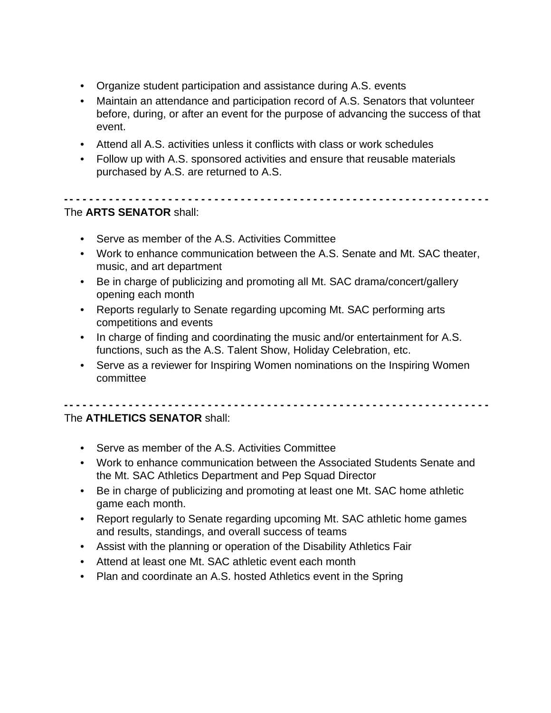- Organize student participation and assistance during A.S. events
- Maintain an attendance and participation record of A.S. Senators that volunteer before, during, or after an event for the purpose of advancing the success of that event.
- Attend all A.S. activities unless it conflicts with class or work schedules
- Follow up with A.S. sponsored activities and ensure that reusable materials purchased by A.S. are returned to A.S.

### The **ARTS SENATOR** shall:

- Serve as member of the A.S. Activities Committee
- Work to enhance communication between the A.S. Senate and Mt. SAC theater, music, and art department

**- - - - - - - - - - - - - - - - - - - - - - - - - - - - - - - - - - - - - - - - - - - - - - - - - - - - - - - - - - - - - - - - -**

- Be in charge of publicizing and promoting all Mt. SAC drama/concert/gallery opening each month
- Reports regularly to Senate regarding upcoming Mt. SAC performing arts competitions and events
- In charge of finding and coordinating the music and/or entertainment for A.S. functions, such as the A.S. Talent Show, Holiday Celebration, etc.
- Serve as a reviewer for Inspiring Women nominations on the Inspiring Women committee

**- - - - - - - - - - - - - - - - - - - - - - - - - - - - - - - - - - - - - - - - - - - - - - - - - - - - - - - - - - - - - - - - -**

### The **ATHLETICS SENATOR** shall:

- Serve as member of the A.S. Activities Committee
- Work to enhance communication between the Associated Students Senate and the Mt. SAC Athletics Department and Pep Squad Director
- Be in charge of publicizing and promoting at least one Mt. SAC home athletic game each month.
- Report regularly to Senate regarding upcoming Mt. SAC athletic home games and results, standings, and overall success of teams
- Assist with the planning or operation of the Disability Athletics Fair
- Attend at least one Mt. SAC athletic event each month
- Plan and coordinate an A.S. hosted Athletics event in the Spring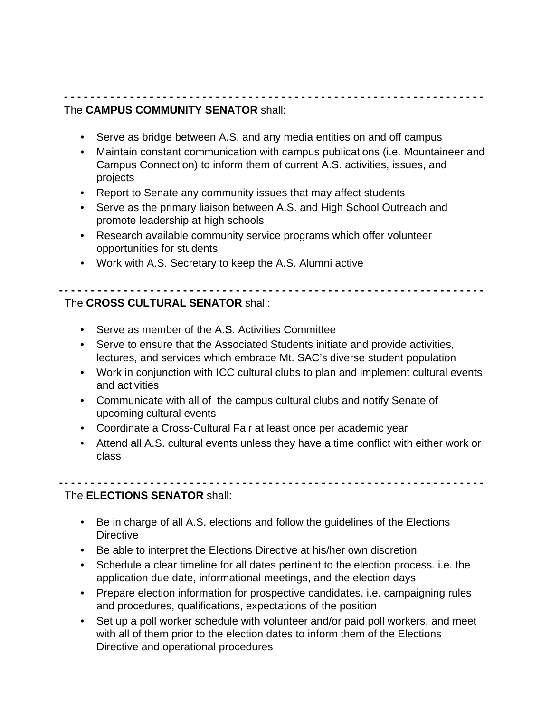### **- - - - - - - - - - - - - - - - - - - - - - - - - - - - - - - - - - - - - - - - - - - - - - - - - - - - - - - - - - - - - - - -** The **CAMPUS COMMUNITY SENATOR** shall:

- Serve as bridge between A.S. and any media entities on and off campus
- projects • Maintain constant communication with campus publications (i.e. Mountaineer and Campus Connection) to inform them of current A.S. activities, issues, and
- projects Report to Senate any community issues that may affect students
- Serve as the primary liaison between A.S. and High School Outreach and promote leadership at high schools
- Research available community service programs which offer volunteer opportunities for students
- Work with A.S. Secretary to keep the A.S. Alumni active

#### **- - - - - - - - - - - - - - - - - - - - - - - - - - - - - - - - - - - - - - - - - - - - - - - - - - - - - - - - - - - - - - - - -** The **CROSS CULTURAL SENATOR** shall:

- Serve as member of the A.S. Activities Committee
- Serve to ensure that the Associated Students initiate and provide activities, lectures, and services which embrace Mt. SAC's diverse student population
- Work in conjunction with ICC cultural clubs to plan and implement cultural events and activities
- • Communicate with all of the campus cultural clubs and notify Senate of upcoming cultural events
- Coordinate a Cross-Cultural Fair at least once per academic year
- • Attend all A.S. cultural events unless they have a time conflict with either work or class

### The **ELECTIONS SENATOR** shall:

• Be in charge of all A.S. elections and follow the guidelines of the Elections **Directive** 

**- - - - - - - - - - - - - - - - - - - - - - - - - - - - - - - - - - - - - - - - - - - - - - - - - - - - - - - - - - - - - - - - -**

- Be able to interpret the Elections Directive at his/her own discretion
- Schedule a clear timeline for all dates pertinent to the election process. i.e. the application due date, informational meetings, and the election days
- Prepare election information for prospective candidates. i.e. campaigning rules and procedures, qualifications, expectations of the position
- $\bullet$  with all of them prior to the election dates to inform them of the Elections Set up a poll worker schedule with volunteer and/or paid poll workers, and meet Directive and operational procedures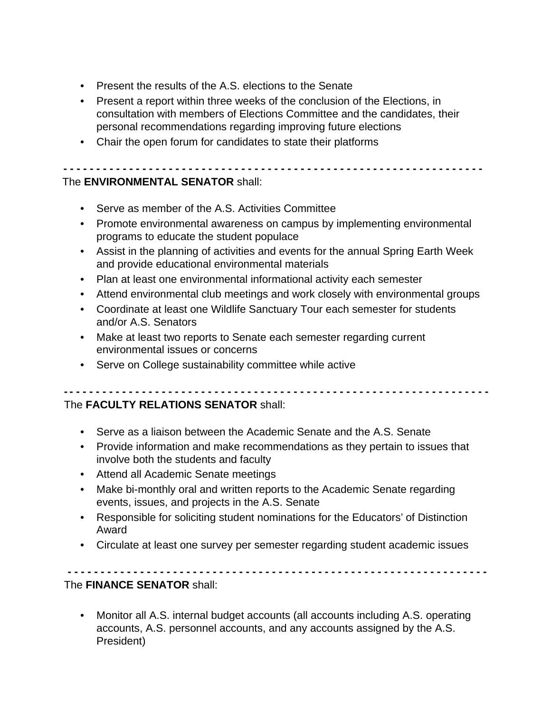- Present the results of the A.S. elections to the Senate
- Present a report within three weeks of the conclusion of the Elections, in consultation with members of Elections Committee and the candidates, their personal recommendations regarding improving future elections
- Chair the open forum for candidates to state their platforms

**- - - - - - - - - - - - - - - - - - - - - - - - - - - - - - - - - - - - - - - - - - - - - - - - - - - - - - - - - - - - - - - -** The **ENVIRONMENTAL SENATOR** shall:

- Serve as member of the A.S. Activities Committee
- Promote environmental awareness on campus by implementing environmental programs to educate the student populace
- Assist in the planning of activities and events for the annual Spring Earth Week and provide educational environmental materials
- Plan at least one environmental informational activity each semester
- Attend environmental club meetings and work closely with environmental groups
- Coordinate at least one Wildlife Sanctuary Tour each semester for students and/or A.S. Senators
- Make at least two reports to Senate each semester regarding current environmental issues or concerns
- Serve on College sustainability committee while active

#### **- - - - - - - - - - - - - - - - - - - - - - - - - - - - - - - - - - - - - - - - - - - - - - - - - - - - - - - - - - - - - - - - -**

## The **FACULTY RELATIONS SENATOR** shall:

- Serve as a liaison between the Academic Senate and the A.S. Senate
- Provide information and make recommendations as they pertain to issues that involve both the students and faculty
- Attend all Academic Senate meetings
- Make bi-monthly oral and written reports to the Academic Senate regarding events, issues, and projects in the A.S. Senate
- Responsible for soliciting student nominations for the Educators' of Distinction Award
- Circulate at least one survey per semester regarding student academic issues

**- - - - - - - - - - - - - - - - - - - - - - - - - - - - - - - - - - - - - - - - - - - - - - - - - - - - - - - - - - - - - - - -**

## The **FINANCE SENATOR** shall:

• Monitor all A.S. internal budget accounts (all accounts including A.S. operating accounts, A.S. personnel accounts, and any accounts assigned by the A.S. President)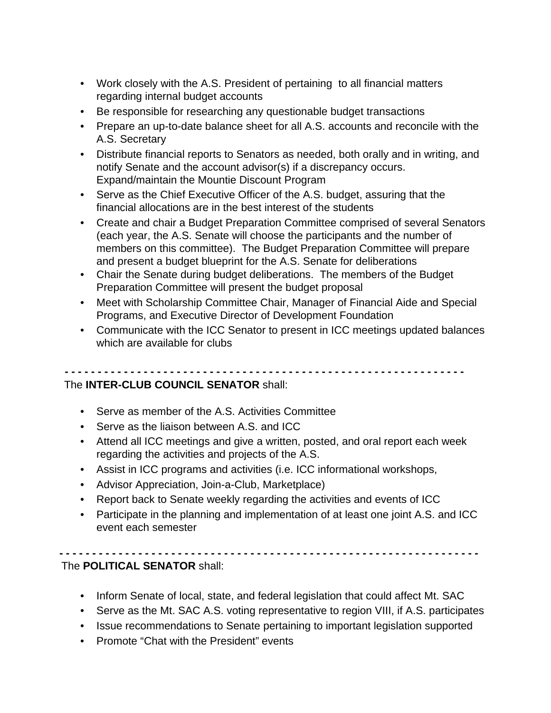- Work closely with the A.S. President of pertaining to all financial matters regarding internal budget accounts
- Be responsible for researching any questionable budget transactions
- Prepare an up-to-date balance sheet for all A.S. accounts and reconcile with the A.S. Secretary
- Distribute financial reports to Senators as needed, both orally and in writing, and notify Senate and the account advisor(s) if a discrepancy occurs. Expand/maintain the Mountie Discount Program
- Serve as the Chief Executive Officer of the A.S. budget, assuring that the financial allocations are in the best interest of the students
- Create and chair a Budget Preparation Committee comprised of several Senators (each year, the A.S. Senate will choose the participants and the number of members on this committee). The Budget Preparation Committee will prepare and present a budget blueprint for the A.S. Senate for deliberations
- Chair the Senate during budget deliberations. The members of the Budget Preparation Committee will present the budget proposal
- Meet with Scholarship Committee Chair, Manager of Financial Aide and Special Programs, and Executive Director of Development Foundation
- Communicate with the ICC Senator to present in ICC meetings updated balances which are available for clubs

## The **INTER-CLUB COUNCIL SENATOR** shall:

**- - - - - - - - - - - - - - - - - - - - - - - - - - - - - - - - - - - - - - - - - - - - - - - - - - - - - - - - - - - - -**

- Serve as member of the A.S. Activities Committee
- Serve as the liaison between A.S. and ICC
- Attend all ICC meetings and give a written, posted, and oral report each week regarding the activities and projects of the A.S.
- Assist in ICC programs and activities (i.e. ICC informational workshops,
- Advisor Appreciation, Join-a-Club, Marketplace)
- Report back to Senate weekly regarding the activities and events of ICC
- Participate in the planning and implementation of at least one joint A.S. and ICC event each semester

## The **POLITICAL SENATOR** shall:

• Inform Senate of local, state, and federal legislation that could affect Mt. SAC

**- - - - - - - - - - - - - - - - - - - - - - - - - - - - - - - - - - - - - - - - - - - - - - - - - - - - - - - - - - - - - - - -**

- Serve as the Mt. SAC A.S. voting representative to region VIII, if A.S. participates
- Issue recommendations to Senate pertaining to important legislation supported
- Promote "Chat with the President" events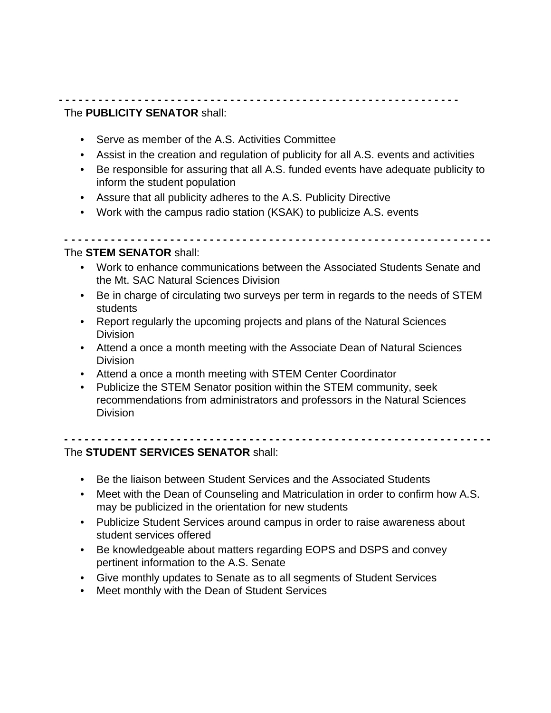### **- - - - - - - - - - - - - - - - - - - - - - - - - - - - - - - - - - - - - - - - - - - - - - - - - - - - - - - - - - - - -** The **PUBLICITY SENATOR** shall:

- Serve as member of the A.S. Activities Committee
- Assist in the creation and regulation of publicity for all A.S. events and activities
- Be responsible for assuring that all A.S. funded events have adequate publicity to inform the student population
- Assure that all publicity adheres to the A.S. Publicity Directive
- Work with the campus radio station (KSAK) to publicize A.S. events

**- - - - - - - - - - - - - - - - - - - - - - - - - - - - - - - - - - - - - - - - - - - - - - - - - - - - - - - - - - - - - - - - -**

### The **STEM SENATOR** shall:

- Work to enhance communications between the Associated Students Senate and the Mt. SAC Natural Sciences Division
- students • Be in charge of circulating two surveys per term in regards to the needs of STEM
- Report regularly the upcoming projects and plans of the Natural Sciences **Division**
- Attend a once a month meeting with the Associate Dean of Natural Sciences Division
- Attend a once a month meeting with STEM Center Coordinator
- Publicize the STEM Senator position within the STEM community, seek recommendations from administrators and professors in the Natural Sciences Division

## The **STUDENT SERVICES SENATOR** shall:

- Be the liaison between Student Services and the Associated Students
- • Meet with the Dean of Counseling and Matriculation in order to confirm how A.S. may be publicized in the orientation for new students

**- - - - - - - - - - - - - - - - - - - - - - - - - - - - - - - - - - - - - - - - - - - - - - - - - - - - - - - - - - - - - - - - -**

- Publicize Student Services around campus in order to raise awareness about student services offered
- Be knowledgeable about matters regarding EOPS and DSPS and convey pertinent information to the A.S. Senate
- Give monthly updates to Senate as to all segments of Student Services
- Meet monthly with the Dean of Student Services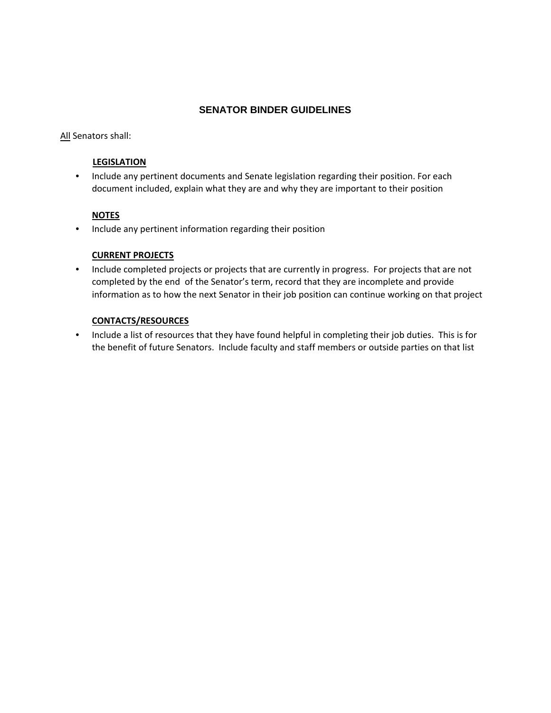### **SENATOR BINDER GUIDELINES**

All Senators shall:

### **LEGISLATION**

• Include any pertinent documents and Senate legislation regarding their position. For each • Include any pertinent documents and Senate legislation regarding their position. For each document included, explain what they are and why they are important to their position

### **NOTES**

• Include any pertinent information regarding their position

### **CURRENT PROJECTS**

 completed by the end of the Senator's term, record that they are incomplete and provide information as to how the next Senator in their job position can continue working on that project • Include completed projects or projects that are currently in progress. For projects that are not

### **CONTACTS/RESOURCES**

 • Include a list of resources that they have found helpful in completing their job duties. This is for the benefit of future Senators. Include faculty and staff members or outside parties on that list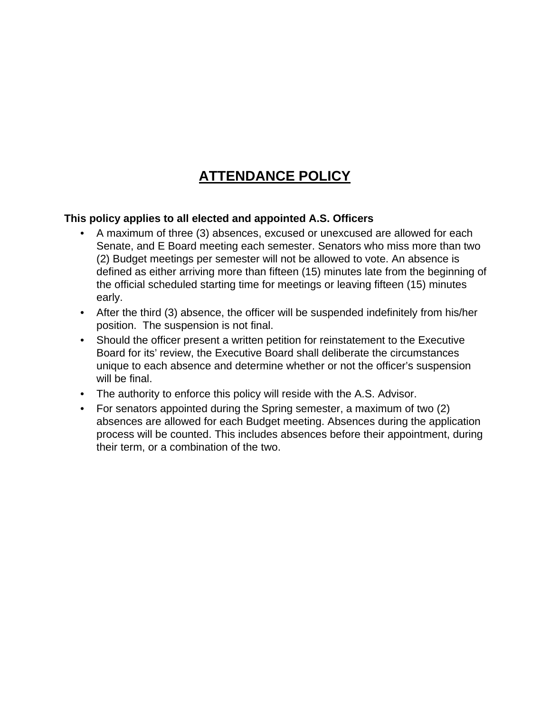# **ATTENDANCE POLICY**

## **This policy applies to all elected and appointed A.S. Officers**

- A maximum of three (3) absences, excused or unexcused are allowed for each Senate, and E Board meeting each semester. Senators who miss more than two (2) Budget meetings per semester will not be allowed to vote. An absence is defined as either arriving more than fifteen (15) minutes late from the beginning of the official scheduled starting time for meetings or leaving fifteen (15) minutes early.
- After the third (3) absence, the officer will be suspended indefinitely from his/her position. The suspension is not final.
- Should the officer present a written petition for reinstatement to the Executive Board for its' review, the Executive Board shall deliberate the circumstances unique to each absence and determine whether or not the officer's suspension will be final.
- The authority to enforce this policy will reside with the A.S. Advisor.
- For senators appointed during the Spring semester, a maximum of two (2) absences are allowed for each Budget meeting. Absences during the application process will be counted. This includes absences before their appointment, during their term, or a combination of the two.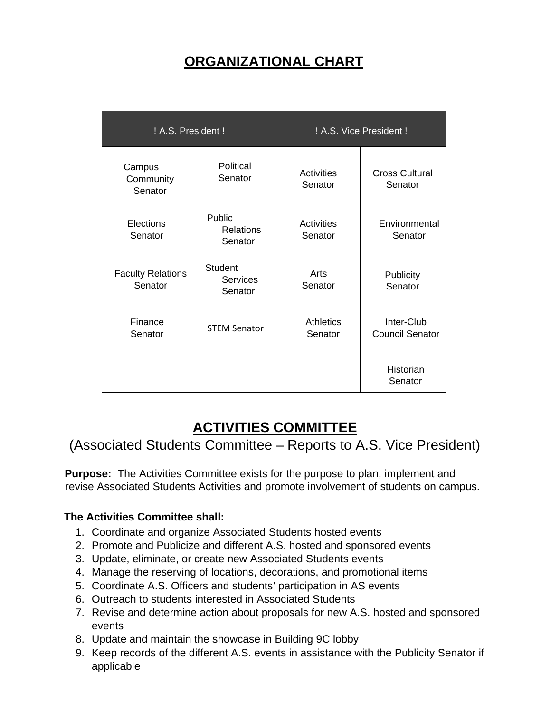# **ORGANIZATIONAL CHART**

| ! A.S. President !                  |                                              | ! A.S. Vice President !      |                                      |
|-------------------------------------|----------------------------------------------|------------------------------|--------------------------------------|
| Campus<br>Community<br>Senator      | Political<br>Senator                         | Activities<br>Senator        | <b>Cross Cultural</b><br>Senator     |
| Elections<br>Senator                | Public<br><b>Relations</b><br>Senator        | <b>Activities</b><br>Senator | Environmental<br>Senator             |
| <b>Faculty Relations</b><br>Senator | <b>Student</b><br><b>Services</b><br>Senator | Arts<br>Senator              | Publicity<br>Senator                 |
| Finance<br>Senator                  | <b>STEM Senator</b>                          | <b>Athletics</b><br>Senator  | Inter-Club<br><b>Council Senator</b> |
|                                     |                                              |                              | Historian<br>Senator                 |

# **ACTIVITIES COMMITTEE**

(Associated Students Committee – Reports to A.S. Vice President)

**Purpose:** The Activities Committee exists for the purpose to plan, implement and revise Associated Students Activities and promote involvement of students on campus.

### **The Activities Committee shall:**

- 1. Coordinate and organize Associated Students hosted events
- 2. Promote and Publicize and different A.S. hosted and sponsored events
- 3. Update, eliminate, or create new Associated Students events
- 4. Manage the reserving of locations, decorations, and promotional items
- 5. Coordinate A.S. Officers and students' participation in AS events
- 6. Outreach to students interested in Associated Students
- 7. Revise and determine action about proposals for new A.S. hosted and sponsored events
- 8. Update and maintain the showcase in Building 9C lobby
- 9. Keep records of the different A.S. events in assistance with the Publicity Senator if applicable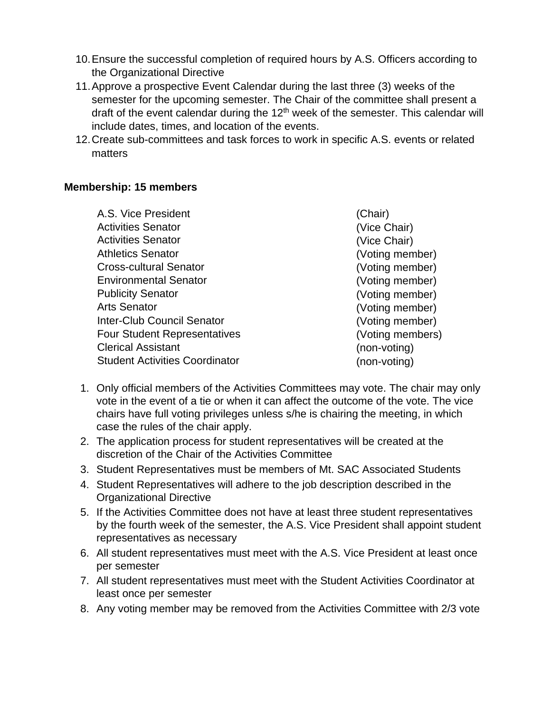- 10.Ensure the successful completion of required hours by A.S. Officers according to the Organizational Directive
- 11.Approve a prospective Event Calendar during the last three (3) weeks of the semester for the upcoming semester. The Chair of the committee shall present a draft of the event calendar during the  $12<sup>th</sup>$  week of the semester. This calendar will include dates, times, and location of the events.
- 12.Create sub-committees and task forces to work in specific A.S. events or related matters

### **Membership: 15 members**

| A.S. Vice President                   | (Chair)          |
|---------------------------------------|------------------|
| <b>Activities Senator</b>             | (Vice Chair)     |
| <b>Activities Senator</b>             | (Vice Chair)     |
| <b>Athletics Senator</b>              | (Voting member)  |
| <b>Cross-cultural Senator</b>         | (Voting member)  |
| <b>Environmental Senator</b>          | (Voting member)  |
| <b>Publicity Senator</b>              | (Voting member)  |
| <b>Arts Senator</b>                   | (Voting member)  |
| <b>Inter-Club Council Senator</b>     | (Voting member)  |
| <b>Four Student Representatives</b>   | (Voting members) |
| <b>Clerical Assistant</b>             | (non-voting)     |
| <b>Student Activities Coordinator</b> | (non-voting)     |

- 1. Only official members of the Activities Committees may vote. The chair may only vote in the event of a tie or when it can affect the outcome of the vote. The vice chairs have full voting privileges unless s/he is chairing the meeting, in which case the rules of the chair apply.
- 2. The application process for student representatives will be created at the discretion of the Chair of the Activities Committee
- 3. Student Representatives must be members of Mt. SAC Associated Students
- 4. Student Representatives will adhere to the job description described in the Organizational Directive
- 5. If the Activities Committee does not have at least three student representatives by the fourth week of the semester, the A.S. Vice President shall appoint student representatives as necessary
- 6. All student representatives must meet with the A.S. Vice President at least once per semester
- 7. All student representatives must meet with the Student Activities Coordinator at least once per semester
- 8. Any voting member may be removed from the Activities Committee with 2/3 vote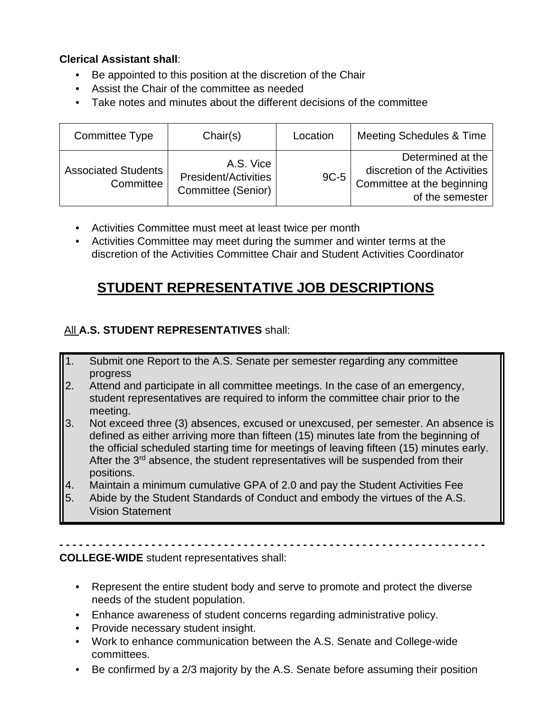## **Clerical Assistant shall**:

- Be appointed to this position at the discretion of the Chair
- Assist the Chair of the committee as needed
- Take notes and minutes about the different decisions of the committee

| Committee Type                          | Chair(s)                                                       | Location | Meeting Schedules & Time                                                                           |
|-----------------------------------------|----------------------------------------------------------------|----------|----------------------------------------------------------------------------------------------------|
| <b>Associated Students</b><br>Committee | A.S. Vice<br><b>President/Activities</b><br>Committee (Senior) | $9C-5$   | Determined at the<br>discretion of the Activities<br>Committee at the beginning<br>of the semester |

- Activities Committee must meet at least twice per month
- Activities Committee may meet during the summer and winter terms at the discretion of the Activities Committee Chair and Student Activities Coordinator

# **STUDENT REPRESENTATIVE JOB DESCRIPTIONS**

## All **A.S. STUDENT REPRESENTATIVES** shall:

- 1. Submit one Report to the A.S. Senate per semester regarding any committee progress
- 2. Attend and participate in all committee meetings. In the case of an emergency, student representatives are required to inform the committee chair prior to the meeting.
- 3. Not exceed three (3) absences, excused or unexcused, per semester. An absence is defined as either arriving more than fifteen (15) minutes late from the beginning of the official scheduled starting time for meetings of leaving fifteen (15) minutes early. After the 3<sup>rd</sup> absence, the student representatives will be suspended from their positions.
- 4. Maintain a minimum cumulative GPA of 2.0 and pay the Student Activities Fee
- 5. Abide by the Student Standards of Conduct and embody the virtues of the A.S. Vision Statement

**- - - - - - - - - - - - - - - - - - - - - - - - - - - - - - - - - - - - - - - - - - - - - - - - - - - - - - - - - - - - - - - - - COLLEGE-WIDE** student representatives shall:

- Represent the entire student body and serve to promote and protect the diverse needs of the student population.
- Enhance awareness of student concerns regarding administrative policy.
- Provide necessary student insight.
- Work to enhance communication between the A.S. Senate and College-wide committees.
- Be confirmed by a 2/3 majority by the A.S. Senate before assuming their position